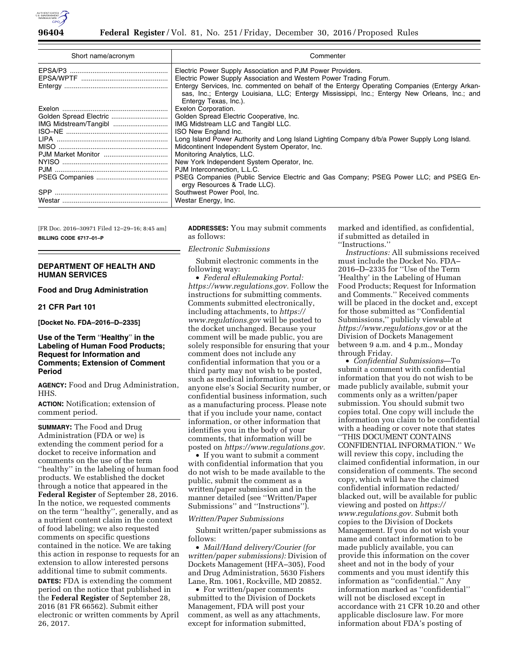

| Short name/acronym    | Commenter                                                                                                                                                                                                              |
|-----------------------|------------------------------------------------------------------------------------------------------------------------------------------------------------------------------------------------------------------------|
|                       | Electric Power Supply Association and PJM Power Providers.                                                                                                                                                             |
|                       | Electric Power Supply Association and Western Power Trading Forum.                                                                                                                                                     |
|                       | Entergy Services, Inc. commented on behalf of the Entergy Operating Companies (Entergy Arkan-<br>sas, Inc.; Entergy Louisiana, LLC; Entergy Mississippi, Inc.; Entergy New Orleans, Inc.; and<br>Entergy Texas, Inc.). |
|                       | Exelon Corporation.                                                                                                                                                                                                    |
|                       | Golden Spread Electric Cooperative, Inc.                                                                                                                                                                               |
| IMG Midstream/Tangibl | IMG Midstream LLC and Tangibl LLC.                                                                                                                                                                                     |
|                       | ISO New England Inc.                                                                                                                                                                                                   |
|                       | Long Island Power Authority and Long Island Lighting Company d/b/a Power Supply Long Island.                                                                                                                           |
|                       | Midcontinent Independent System Operator, Inc.                                                                                                                                                                         |
|                       | Monitoring Analytics, LLC.                                                                                                                                                                                             |
|                       | New York Independent System Operator, Inc.                                                                                                                                                                             |
|                       | PJM Interconnection, L.L.C.                                                                                                                                                                                            |
|                       | PSEG Companies (Public Service Electric and Gas Company; PSEG Power LLC; and PSEG En-<br>ergy Resources & Trade LLC).                                                                                                  |
|                       | Southwest Power Pool, Inc.                                                                                                                                                                                             |
|                       | Westar Energy, Inc.                                                                                                                                                                                                    |

[FR Doc. 2016–30971 Filed 12–29–16; 8:45 am] **BILLING CODE 6717–01–P** 

## **DEPARTMENT OF HEALTH AND HUMAN SERVICES**

## **Food and Drug Administration**

## **21 CFR Part 101**

**[Docket No. FDA–2016–D–2335]** 

# **Use of the Term** ''**Healthy**'' **in the Labeling of Human Food Products; Request for Information and Comments; Extension of Comment Period**

**AGENCY:** Food and Drug Administration, HHS.

**ACTION:** Notification; extension of comment period.

**SUMMARY:** The Food and Drug Administration (FDA or we) is extending the comment period for a docket to receive information and comments on the use of the term ''healthy'' in the labeling of human food products. We established the docket through a notice that appeared in the **Federal Register** of September 28, 2016. In the notice, we requested comments on the term ''healthy'', generally, and as a nutrient content claim in the context of food labeling; we also requested comments on specific questions contained in the notice. We are taking this action in response to requests for an extension to allow interested persons additional time to submit comments.

**DATES:** FDA is extending the comment period on the notice that published in the **Federal Register** of September 28, 2016 (81 FR 66562). Submit either electronic or written comments by April 26, 2017.

**ADDRESSES:** You may submit comments as follows:

### *Electronic Submissions*

Submit electronic comments in the following way:

• *Federal eRulemaking Portal: [https://www.regulations.gov.](https://www.regulations.gov)* Follow the instructions for submitting comments. Comments submitted electronically, including attachments, to *[https://](https://www.regulations.gov) [www.regulations.gov](https://www.regulations.gov)* will be posted to the docket unchanged. Because your comment will be made public, you are solely responsible for ensuring that your comment does not include any confidential information that you or a third party may not wish to be posted, such as medical information, your or anyone else's Social Security number, or confidential business information, such as a manufacturing process. Please note that if you include your name, contact information, or other information that identifies you in the body of your comments, that information will be posted on *[https://www.regulations.gov.](https://www.regulations.gov)* 

• If you want to submit a comment with confidential information that you do not wish to be made available to the public, submit the comment as a written/paper submission and in the manner detailed (see ''Written/Paper Submissions'' and ''Instructions'').

### *Written/Paper Submissions*

Submit written/paper submissions as follows:

• *Mail/Hand delivery/Courier (for written/paper submissions):* Division of Dockets Management (HFA–305), Food and Drug Administration, 5630 Fishers Lane, Rm. 1061, Rockville, MD 20852.

• For written/paper comments submitted to the Division of Dockets Management, FDA will post your comment, as well as any attachments, except for information submitted,

marked and identified, as confidential, if submitted as detailed in ''Instructions.''

*Instructions:* All submissions received must include the Docket No. FDA– 2016–D–2335 for ''Use of the Term 'Healthy' in the Labeling of Human Food Products; Request for Information and Comments.'' Received comments will be placed in the docket and, except for those submitted as ''Confidential Submissions,'' publicly viewable at *<https://www.regulations.gov>* or at the Division of Dockets Management between 9 a.m. and 4 p.m., Monday through Friday.

• *Confidential Submissions*—To submit a comment with confidential information that you do not wish to be made publicly available, submit your comments only as a written/paper submission. You should submit two copies total. One copy will include the information you claim to be confidential with a heading or cover note that states ''THIS DOCUMENT CONTAINS CONFIDENTIAL INFORMATION.'' We will review this copy, including the claimed confidential information, in our consideration of comments. The second copy, which will have the claimed confidential information redacted/ blacked out, will be available for public viewing and posted on *[https://](https://www.regulations.gov)  [www.regulations.gov.](https://www.regulations.gov)* Submit both copies to the Division of Dockets Management. If you do not wish your name and contact information to be made publicly available, you can provide this information on the cover sheet and not in the body of your comments and you must identify this information as ''confidential.'' Any information marked as ''confidential'' will not be disclosed except in accordance with 21 CFR 10.20 and other applicable disclosure law. For more information about FDA's posting of